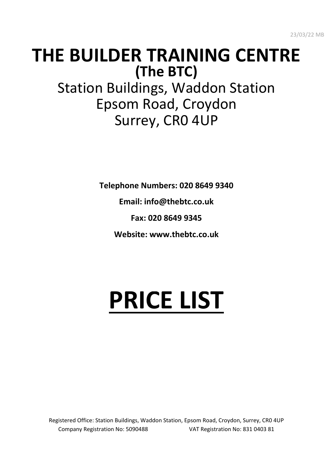# **THE BUILDER TRAINING CENTRE (The BTC)** Station Buildings, Waddon Station Epsom Road, Croydon Surrey, CR0 4UP

**Telephone Numbers: 020 8649 9340**

**Email: info@thebtc.co.uk**

**Fax: 020 8649 9345**

**Website: www.thebtc.co.uk**

# **PRICE LIST**

Registered Office: Station Buildings, Waddon Station, Epsom Road, Croydon, Surrey, CR0 4UP Company Registration No: 5090488 VAT Registration No: 831 0403 81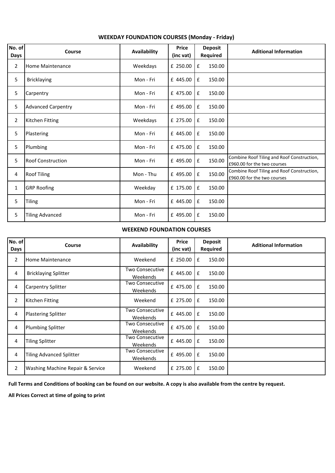| No. of<br>Days | Course                    | Availability | Price<br>(inc vat) | <b>Deposit</b><br>Required | <b>Aditional Information</b>                                              |
|----------------|---------------------------|--------------|--------------------|----------------------------|---------------------------------------------------------------------------|
| $\overline{2}$ | <b>Home Maintenance</b>   | Weekdays     | £ 250.00           | £<br>150.00                |                                                                           |
| 5              | <b>Bricklaying</b>        | Mon - Fri    | £ 445.00           | £<br>150.00                |                                                                           |
| 5              | Carpentry                 | Mon - Fri    | £ 475.00           | $\mathbf f$<br>150.00      |                                                                           |
| 5              | <b>Advanced Carpentry</b> | Mon - Fri    | £ 495.00           | £<br>150.00                |                                                                           |
| $\overline{2}$ | Kitchen Fitting           | Weekdays     | £ 275.00           | £<br>150.00                |                                                                           |
| 5              | Plastering                | Mon - Fri    | £ 445.00           | £<br>150.00                |                                                                           |
| 5              | Plumbing                  | Mon - Fri    | £ 475.00           | £<br>150.00                |                                                                           |
| 5              | <b>Roof Construction</b>  | Mon - Fri    | £ 495.00           | 150.00<br>£                | Combine Roof Tiling and Roof Construction,<br>£960.00 for the two courses |
| 4              | <b>Roof Tiling</b>        | Mon - Thu    | £ 495.00           | 150.00<br>£                | Combine Roof Tiling and Roof Construction,<br>£960.00 for the two courses |
| 1              | <b>GRP Roofing</b>        | Weekday      | £ 175.00           | £<br>150.00                |                                                                           |
| 5              | <b>Tiling</b>             | Mon - Fri    | £ 445.00           | £<br>150.00                |                                                                           |
| 5              | <b>Tiling Advanced</b>    | Mon - Fri    | £ 495.00           | £<br>150.00                |                                                                           |

## **WEEKDAY FOUNDATION COURSES (Monday - Friday)**

#### **WEEKEND FOUNDATION COURSES**

| No. of<br>Days | Course                           | Availability                       | <b>Price</b><br>(inc vat) | <b>Deposit</b><br><b>Required</b> | <b>Aditional Information</b> |
|----------------|----------------------------------|------------------------------------|---------------------------|-----------------------------------|------------------------------|
| $\overline{2}$ | <b>Home Maintenance</b>          | Weekend                            | $£$ 250.00 $E$            | 150.00                            |                              |
| 4              | <b>Bricklaying Splitter</b>      | <b>Two Consecutive</b><br>Weekends | £ 445.00 $E$              | 150.00                            |                              |
| 4              | <b>Carpentry Splitter</b>        | <b>Two Consecutive</b><br>Weekends | £ 475.00                  | £<br>150.00                       |                              |
| 2              | Kitchen Fitting                  | Weekend                            | $£$ 275.00 $E$            | 150.00                            |                              |
| 4              | <b>Plastering Splitter</b>       | Two Consecutive<br>Weekends        | £ 445.00 $E$              | 150.00                            |                              |
| 4              | Plumbing Splitter                | <b>Two Consecutive</b><br>Weekends | £ 475.00                  | £<br>150.00                       |                              |
| 4              | <b>Tiling Splitter</b>           | <b>Two Consecutive</b><br>Weekends | $£$ 445.00 $E$            | 150.00                            |                              |
| 4              | <b>Tiling Advanced Splitter</b>  | <b>Two Consecutive</b><br>Weekends | £ 495.00                  | £<br>150.00                       |                              |
| 2              | Washing Machine Repair & Service | Weekend                            | £ 275.00                  | 150.00<br>£                       |                              |

**Full Terms and Conditions of booking can be found on our website. A copy is also available from the centre by request.**

**All Prices Correct at time of going to print**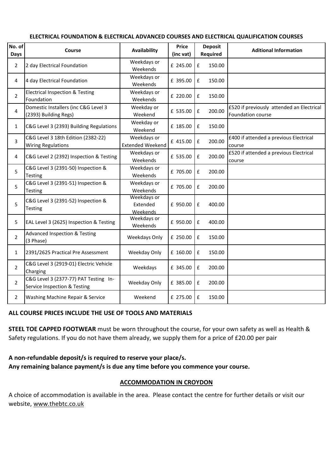| No. of<br>Days | Course                                                                | Availability                           | <b>Price</b><br>(inc vat) | <b>Deposit</b><br>Required   | <b>Aditional Information</b>                                   |
|----------------|-----------------------------------------------------------------------|----------------------------------------|---------------------------|------------------------------|----------------------------------------------------------------|
| $\overline{2}$ | 2 day Electrical Foundation                                           | Weekdays or<br>Weekends                | £ 245.00                  | £<br>150.00                  |                                                                |
| 4              | 4 day Electrical Foundation                                           | Weekdays or<br>Weekends                | £ 395.00                  | £<br>150.00                  |                                                                |
| $\overline{2}$ | <b>Electrical Inspection &amp; Testing</b><br>Foundation              | Weekdays or<br>Weekends                | £ 220.00                  | $\pmb{\mathsf{f}}$<br>150.00 |                                                                |
| 4              | Domestic Installers (inc C&G Level 3<br>(2393) Building Regs)         | Weekday or<br>Weekend                  | £ 535.00                  | 200.00<br>£                  | £520 if previously attended an Electrical<br>Foundation course |
| 1              | C&G Level 3 (2393) Building Regulations                               | Weekday or<br>Weekend                  | £ 185.00                  | £<br>150.00                  |                                                                |
| 3              | C&G Level 3 18th Edition (2382-22)<br><b>Wiring Regulations</b>       | Weekdays or<br><b>Extended Weekend</b> | £ 415.00                  | $\pmb{\mathsf{f}}$<br>200.00 | £400 if attended a previous Electrical<br>course               |
| 4              | C&G Level 2 (2392) Inspection & Testing                               | Weekdays or<br>Weekends                | £ 535.00                  | £<br>200.00                  | £520 if attended a previous Electrical<br>course               |
| 5              | C&G Level 3 (2391-50) Inspection &<br><b>Testing</b>                  | Weekdays or<br>Weekends                | £ 705.00                  | £<br>200.00                  |                                                                |
| 5              | C&G Level 3 (2391-51) Inspection &<br>Testing                         | Weekdays or<br>Weekends                | £ 705.00                  | £<br>200.00                  |                                                                |
| 5              | C&G Level 3 (2391-52) Inspection &<br>Testing                         | Weekdays or<br>Extended<br>Weekends    | £ 950.00                  | £<br>400.00                  |                                                                |
| 5              | EAL Level 3 (2625) Inspection & Testing                               | Weekdays or<br>Weekends                | £ 950.00                  | £<br>400.00                  |                                                                |
| $\overline{2}$ | <b>Advanced Inspection &amp; Testing</b><br>(3 Phase)                 | Weekdays Only                          | £ 250.00                  | £<br>150.00                  |                                                                |
| 1              | 2391/2625 Practical Pre Assessment                                    | Weekday Only                           | £ 160.00                  | £<br>150.00                  |                                                                |
| $\overline{2}$ | C&G Level 3 (2919-01) Electric Vehicle<br>Charging                    | Weekdays                               | £ 345.00                  | 200.00<br>£                  |                                                                |
| $\overline{2}$ | C&G Level 3 (2377-77) PAT Testing In-<br>Service Inspection & Testing | Weekday Only                           | £ 385.00                  | £<br>200.00                  |                                                                |
| 2              | Washing Machine Repair & Service                                      | Weekend                                | £ 275.00                  | £<br>150.00                  |                                                                |

#### **ELECTRICAL FOUNDATION & ELECTRICAL ADVANCED COURSES AND ELECTRICAL QUALIFICATION COURSES**

#### **ALL COURSE PRICES INCLUDE THE USE OF TOOLS AND MATERIALS**

**STEEL TOE CAPPED FOOTWEAR** must be worn throughout the course, for your own safety as well as Health & Safety regulations. If you do not have them already, we supply them for a price of £20.00 per pair

#### **A non-refundable deposit/s is required to reserve your place/s.**

**Any remaining balance payment/s is due any time before you commence your course.**

#### **ACCOMMODATION IN CROYDON**

A choice of accommodation is available in the area. Please contact the centre for further details or visit our website, www.thebtc.co.uk